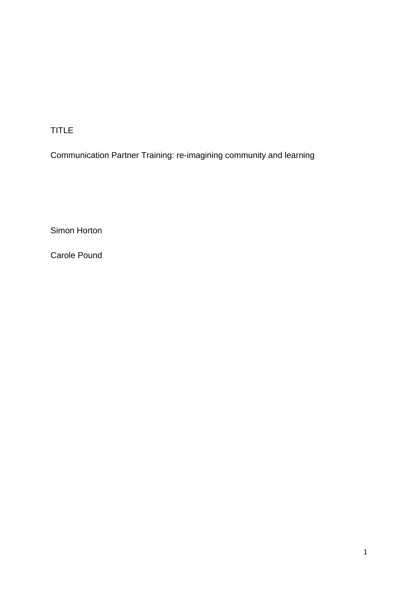TITLE

Communication Partner Training: re-imagining community and learning

Simon Horton

Carole Pound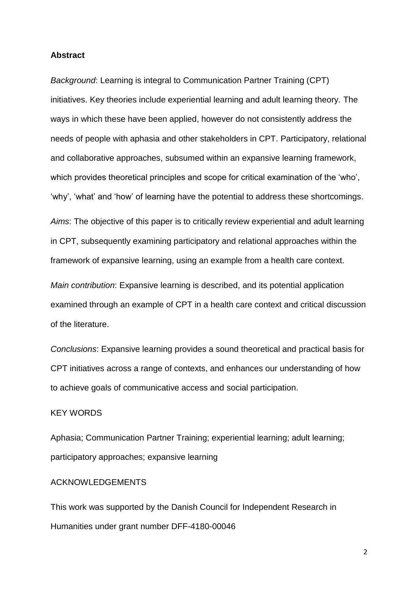#### **Abstract**

*Background*: Learning is integral to Communication Partner Training (CPT) initiatives. Key theories include experiential learning and adult learning theory. The ways in which these have been applied, however do not consistently address the needs of people with aphasia and other stakeholders in CPT. Participatory, relational and collaborative approaches, subsumed within an expansive learning framework, which provides theoretical principles and scope for critical examination of the 'who', 'why', 'what' and 'how' of learning have the potential to address these shortcomings.

*Aims*: The objective of this paper is to critically review experiential and adult learning in CPT, subsequently examining participatory and relational approaches within the framework of expansive learning, using an example from a health care context.

*Main contribution*: Expansive learning is described, and its potential application examined through an example of CPT in a health care context and critical discussion of the literature.

*Conclusions*: Expansive learning provides a sound theoretical and practical basis for CPT initiatives across a range of contexts, and enhances our understanding of how to achieve goals of communicative access and social participation.

## KEY WORDS

Aphasia; Communication Partner Training; experiential learning; adult learning; participatory approaches; expansive learning

## ACKNOWLEDGEMENTS

This work was supported by the Danish Council for Independent Research in Humanities under grant number DFF-4180-00046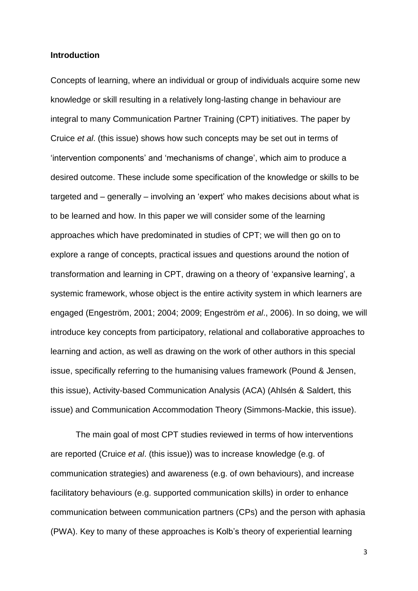## **Introduction**

Concepts of learning, where an individual or group of individuals acquire some new knowledge or skill resulting in a relatively long-lasting change in behaviour are integral to many Communication Partner Training (CPT) initiatives. The paper by Cruice *et al*. (this issue) shows how such concepts may be set out in terms of 'intervention components' and 'mechanisms of change', which aim to produce a desired outcome. These include some specification of the knowledge or skills to be targeted and – generally – involving an 'expert' who makes decisions about what is to be learned and how. In this paper we will consider some of the learning approaches which have predominated in studies of CPT; we will then go on to explore a range of concepts, practical issues and questions around the notion of transformation and learning in CPT, drawing on a theory of 'expansive learning', a systemic framework, whose object is the entire activity system in which learners are engaged (Engeström, 2001; 2004; 2009; Engeström *et al*., 2006). In so doing, we will introduce key concepts from participatory, relational and collaborative approaches to learning and action, as well as drawing on the work of other authors in this special issue, specifically referring to the humanising values framework (Pound & Jensen, this issue), Activity-based Communication Analysis (ACA) (Ahlsén & Saldert, this issue) and Communication Accommodation Theory (Simmons-Mackie, this issue).

The main goal of most CPT studies reviewed in terms of how interventions are reported (Cruice *et al*. (this issue)) was to increase knowledge (e.g. of communication strategies) and awareness (e.g. of own behaviours), and increase facilitatory behaviours (e.g. supported communication skills) in order to enhance communication between communication partners (CPs) and the person with aphasia (PWA). Key to many of these approaches is Kolb's theory of experiential learning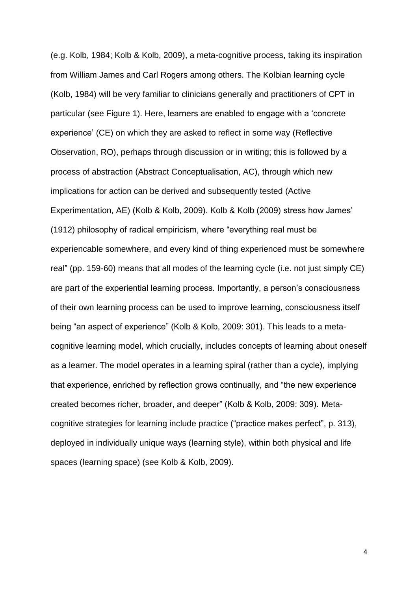(e.g. Kolb, 1984; Kolb & Kolb, 2009), a meta-cognitive process, taking its inspiration from William James and Carl Rogers among others. The Kolbian learning cycle (Kolb, 1984) will be very familiar to clinicians generally and practitioners of CPT in particular (see Figure 1). Here, learners are enabled to engage with a 'concrete experience' (CE) on which they are asked to reflect in some way (Reflective Observation, RO), perhaps through discussion or in writing; this is followed by a process of abstraction (Abstract Conceptualisation, AC), through which new implications for action can be derived and subsequently tested (Active Experimentation, AE) (Kolb & Kolb, 2009). Kolb & Kolb (2009) stress how James' (1912) philosophy of radical empiricism, where "everything real must be experiencable somewhere, and every kind of thing experienced must be somewhere real" (pp. 159-60) means that all modes of the learning cycle (i.e. not just simply CE) are part of the experiential learning process. Importantly, a person's consciousness of their own learning process can be used to improve learning, consciousness itself being "an aspect of experience" (Kolb & Kolb, 2009: 301). This leads to a metacognitive learning model, which crucially, includes concepts of learning about oneself as a learner. The model operates in a learning spiral (rather than a cycle), implying that experience, enriched by reflection grows continually, and "the new experience created becomes richer, broader, and deeper" (Kolb & Kolb, 2009: 309). Metacognitive strategies for learning include practice ("practice makes perfect", p. 313), deployed in individually unique ways (learning style), within both physical and life spaces (learning space) (see Kolb & Kolb, 2009).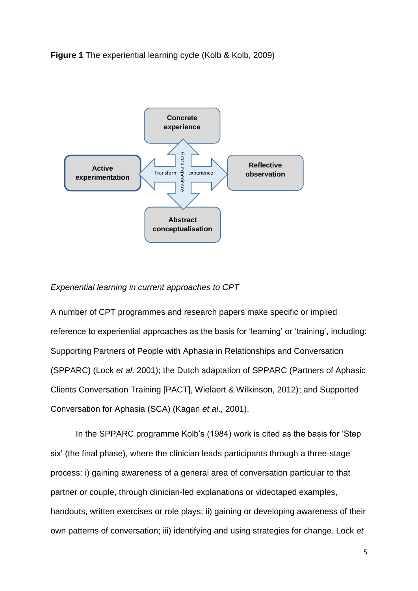**Figure 1** The experiential learning cycle (Kolb & Kolb, 2009)



#### *Experiential learning in current approaches to CPT*

A number of CPT programmes and research papers make specific or implied reference to experiential approaches as the basis for 'learning' or 'training', including: Supporting Partners of People with Aphasia in Relationships and Conversation (SPPARC) (Lock *et al*. 2001); the Dutch adaptation of SPPARC (Partners of Aphasic Clients Conversation Training [PACT], Wielaert & Wilkinson, 2012); and Supported Conversation for Aphasia (SCA) (Kagan *et al*., 2001).

In the SPPARC programme Kolb's (1984) work is cited as the basis for 'Step six' (the final phase), where the clinician leads participants through a three-stage process: i) gaining awareness of a general area of conversation particular to that partner or couple, through clinician-led explanations or videotaped examples, handouts, written exercises or role plays; ii) gaining or developing awareness of their own patterns of conversation; iii) identifying and using strategies for change. Lock *et*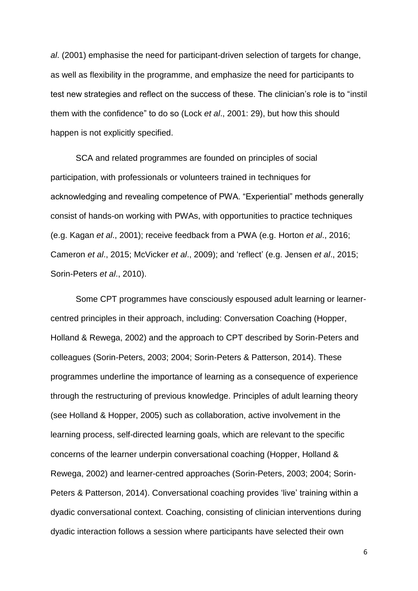*al*. (2001) emphasise the need for participant-driven selection of targets for change, as well as flexibility in the programme, and emphasize the need for participants to test new strategies and reflect on the success of these. The clinician's role is to "instil them with the confidence" to do so (Lock *et al*., 2001: 29), but how this should happen is not explicitly specified.

SCA and related programmes are founded on principles of social participation, with professionals or volunteers trained in techniques for acknowledging and revealing competence of PWA. "Experiential" methods generally consist of hands-on working with PWAs, with opportunities to practice techniques (e.g. Kagan *et al*., 2001); receive feedback from a PWA (e.g. Horton *et al*., 2016; Cameron *et al*., 2015; McVicker *et al*., 2009); and 'reflect' (e.g. Jensen *et al*., 2015; Sorin-Peters *et al*., 2010).

Some CPT programmes have consciously espoused adult learning or learnercentred principles in their approach, including: Conversation Coaching (Hopper, Holland & Rewega, 2002) and the approach to CPT described by Sorin-Peters and colleagues (Sorin-Peters, 2003; 2004; Sorin-Peters & Patterson, 2014). These programmes underline the importance of learning as a consequence of experience through the restructuring of previous knowledge. Principles of adult learning theory (see Holland & Hopper, 2005) such as collaboration, active involvement in the learning process, self-directed learning goals, which are relevant to the specific concerns of the learner underpin conversational coaching (Hopper, Holland & Rewega, 2002) and learner-centred approaches (Sorin-Peters, 2003; 2004; Sorin-Peters & Patterson, 2014). Conversational coaching provides 'live' training within a dyadic conversational context. Coaching, consisting of clinician interventions during dyadic interaction follows a session where participants have selected their own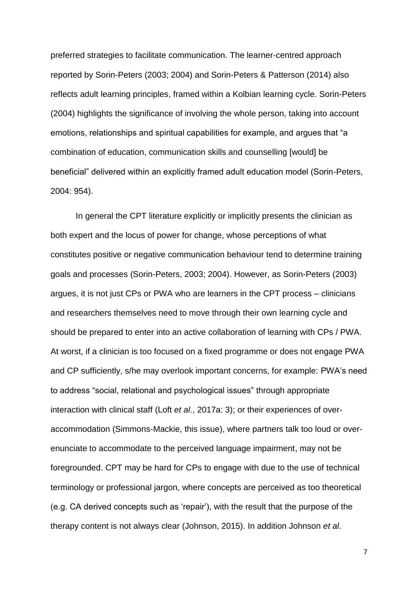preferred strategies to facilitate communication. The learner-centred approach reported by Sorin-Peters (2003; 2004) and Sorin-Peters & Patterson (2014) also reflects adult learning principles, framed within a Kolbian learning cycle. Sorin-Peters (2004) highlights the significance of involving the whole person, taking into account emotions, relationships and spiritual capabilities for example, and argues that "a combination of education, communication skills and counselling [would] be beneficial" delivered within an explicitly framed adult education model (Sorin-Peters, 2004: 954).

In general the CPT literature explicitly or implicitly presents the clinician as both expert and the locus of power for change, whose perceptions of what constitutes positive or negative communication behaviour tend to determine training goals and processes (Sorin-Peters, 2003; 2004). However, as Sorin-Peters (2003) argues, it is not just CPs or PWA who are learners in the CPT process – clinicians and researchers themselves need to move through their own learning cycle and should be prepared to enter into an active collaboration of learning with CPs / PWA. At worst, if a clinician is too focused on a fixed programme or does not engage PWA and CP sufficiently, s/he may overlook important concerns, for example: PWA's need to address "social, relational and psychological issues" through appropriate interaction with clinical staff (Loft *et al*., 2017a: 3); or their experiences of overaccommodation (Simmons-Mackie, this issue), where partners talk too loud or overenunciate to accommodate to the perceived language impairment, may not be foregrounded. CPT may be hard for CPs to engage with due to the use of technical terminology or professional jargon, where concepts are perceived as too theoretical (e.g. CA derived concepts such as 'repair'), with the result that the purpose of the therapy content is not always clear (Johnson, 2015). In addition Johnson *et al*.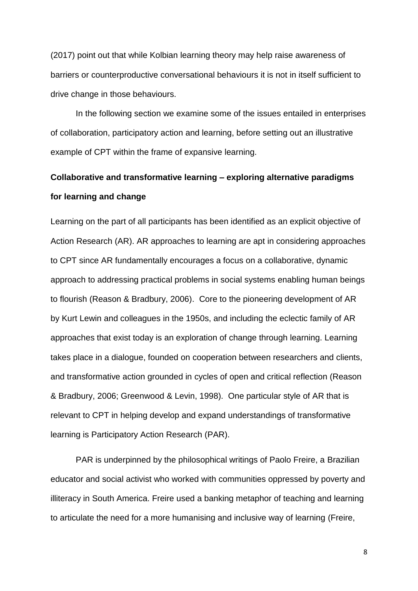(2017) point out that while Kolbian learning theory may help raise awareness of barriers or counterproductive conversational behaviours it is not in itself sufficient to drive change in those behaviours.

In the following section we examine some of the issues entailed in enterprises of collaboration, participatory action and learning, before setting out an illustrative example of CPT within the frame of expansive learning.

# **Collaborative and transformative learning – exploring alternative paradigms for learning and change**

Learning on the part of all participants has been identified as an explicit objective of Action Research (AR). AR approaches to learning are apt in considering approaches to CPT since AR fundamentally encourages a focus on a collaborative, dynamic approach to addressing practical problems in social systems enabling human beings to flourish (Reason & Bradbury, 2006). Core to the pioneering development of AR by Kurt Lewin and colleagues in the 1950s, and including the eclectic family of AR approaches that exist today is an exploration of change through learning. Learning takes place in a dialogue, founded on cooperation between researchers and clients, and transformative action grounded in cycles of open and critical reflection (Reason & Bradbury, 2006; Greenwood & Levin, 1998). One particular style of AR that is relevant to CPT in helping develop and expand understandings of transformative learning is Participatory Action Research (PAR).

PAR is underpinned by the philosophical writings of Paolo Freire, a Brazilian educator and social activist who worked with communities oppressed by poverty and illiteracy in South America. Freire used a banking metaphor of teaching and learning to articulate the need for a more humanising and inclusive way of learning (Freire,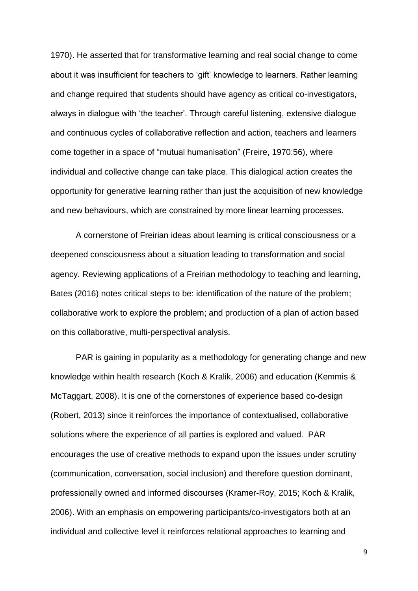1970). He asserted that for transformative learning and real social change to come about it was insufficient for teachers to 'gift' knowledge to learners. Rather learning and change required that students should have agency as critical co-investigators, always in dialogue with 'the teacher'. Through careful listening, extensive dialogue and continuous cycles of collaborative reflection and action, teachers and learners come together in a space of "mutual humanisation" (Freire, 1970:56), where individual and collective change can take place. This dialogical action creates the opportunity for generative learning rather than just the acquisition of new knowledge and new behaviours, which are constrained by more linear learning processes.

A cornerstone of Freirian ideas about learning is critical consciousness or a deepened consciousness about a situation leading to transformation and social agency. Reviewing applications of a Freirian methodology to teaching and learning, Bates (2016) notes critical steps to be: identification of the nature of the problem; collaborative work to explore the problem; and production of a plan of action based on this collaborative, multi-perspectival analysis.

PAR is gaining in popularity as a methodology for generating change and new knowledge within health research (Koch & Kralik, 2006) and education (Kemmis & McTaggart, 2008). It is one of the cornerstones of experience based co-design (Robert, 2013) since it reinforces the importance of contextualised, collaborative solutions where the experience of all parties is explored and valued. PAR encourages the use of creative methods to expand upon the issues under scrutiny (communication, conversation, social inclusion) and therefore question dominant, professionally owned and informed discourses (Kramer-Roy, 2015; Koch & Kralik, 2006). With an emphasis on empowering participants/co-investigators both at an individual and collective level it reinforces relational approaches to learning and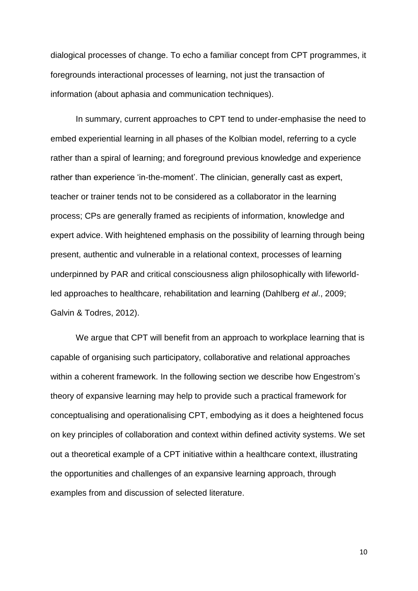dialogical processes of change. To echo a familiar concept from CPT programmes, it foregrounds interactional processes of learning, not just the transaction of information (about aphasia and communication techniques).

In summary, current approaches to CPT tend to under-emphasise the need to embed experiential learning in all phases of the Kolbian model, referring to a cycle rather than a spiral of learning; and foreground previous knowledge and experience rather than experience 'in-the-moment'. The clinician, generally cast as expert, teacher or trainer tends not to be considered as a collaborator in the learning process; CPs are generally framed as recipients of information, knowledge and expert advice. With heightened emphasis on the possibility of learning through being present, authentic and vulnerable in a relational context, processes of learning underpinned by PAR and critical consciousness align philosophically with lifeworldled approaches to healthcare, rehabilitation and learning (Dahlberg *et al*., 2009; Galvin & Todres, 2012).

We argue that CPT will benefit from an approach to workplace learning that is capable of organising such participatory, collaborative and relational approaches within a coherent framework. In the following section we describe how Engestrom's theory of expansive learning may help to provide such a practical framework for conceptualising and operationalising CPT, embodying as it does a heightened focus on key principles of collaboration and context within defined activity systems. We set out a theoretical example of a CPT initiative within a healthcare context, illustrating the opportunities and challenges of an expansive learning approach, through examples from and discussion of selected literature.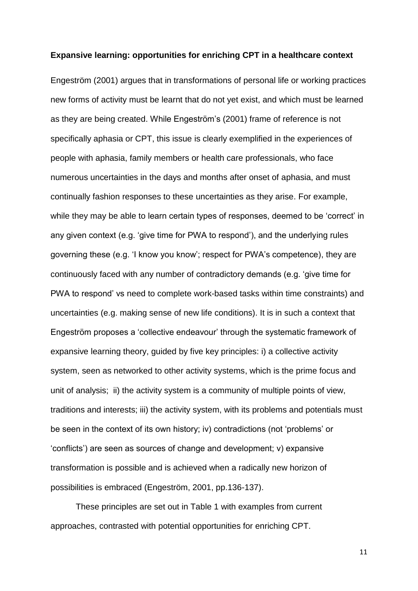## **Expansive learning: opportunities for enriching CPT in a healthcare context**

Engeström (2001) argues that in transformations of personal life or working practices new forms of activity must be learnt that do not yet exist, and which must be learned as they are being created. While Engeström's (2001) frame of reference is not specifically aphasia or CPT, this issue is clearly exemplified in the experiences of people with aphasia, family members or health care professionals, who face numerous uncertainties in the days and months after onset of aphasia, and must continually fashion responses to these uncertainties as they arise. For example, while they may be able to learn certain types of responses, deemed to be 'correct' in any given context (e.g. 'give time for PWA to respond'), and the underlying rules governing these (e.g. 'I know you know'; respect for PWA's competence), they are continuously faced with any number of contradictory demands (e.g. 'give time for PWA to respond' vs need to complete work-based tasks within time constraints) and uncertainties (e.g. making sense of new life conditions). It is in such a context that Engeström proposes a 'collective endeavour' through the systematic framework of expansive learning theory, guided by five key principles: i) a collective activity system, seen as networked to other activity systems, which is the prime focus and unit of analysis; ii) the activity system is a community of multiple points of view, traditions and interests; iii) the activity system, with its problems and potentials must be seen in the context of its own history; iv) contradictions (not 'problems' or 'conflicts') are seen as sources of change and development; v) expansive transformation is possible and is achieved when a radically new horizon of possibilities is embraced (Engeström, 2001, pp.136-137).

These principles are set out in Table 1 with examples from current approaches, contrasted with potential opportunities for enriching CPT.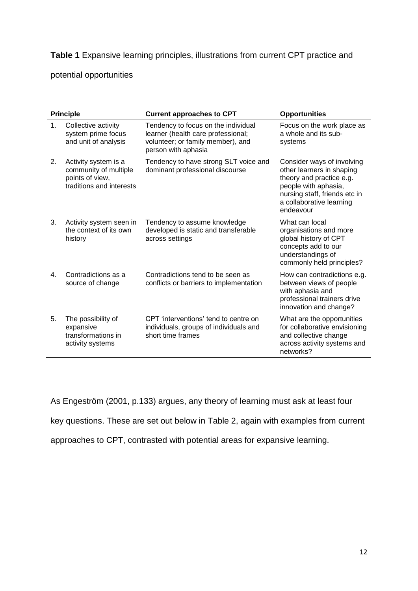# **Table 1** Expansive learning principles, illustrations from current CPT practice and

potential opportunities

| <b>Principle</b> |                                                                                              | <b>Current approaches to CPT</b>                                                                                                      | <b>Opportunities</b>                                                                                                                                                                  |  |
|------------------|----------------------------------------------------------------------------------------------|---------------------------------------------------------------------------------------------------------------------------------------|---------------------------------------------------------------------------------------------------------------------------------------------------------------------------------------|--|
| $\mathbf{1}$ .   | Collective activity<br>system prime focus<br>and unit of analysis                            | Tendency to focus on the individual<br>learner (health care professional;<br>volunteer; or family member), and<br>person with aphasia | Focus on the work place as<br>a whole and its sub-<br>systems                                                                                                                         |  |
| 2.               | Activity system is a<br>community of multiple<br>points of view,<br>traditions and interests | Tendency to have strong SLT voice and<br>dominant professional discourse                                                              | Consider ways of involving<br>other learners in shaping<br>theory and practice e.g.<br>people with aphasia,<br>nursing staff, friends etc in<br>a collaborative learning<br>endeavour |  |
| 3.               | Activity system seen in<br>the context of its own<br>history                                 | Tendency to assume knowledge<br>developed is static and transferable<br>across settings                                               | What can local<br>organisations and more<br>global history of CPT<br>concepts add to our<br>understandings of<br>commonly held principles?                                            |  |
| 4.               | Contradictions as a<br>source of change                                                      | Contradictions tend to be seen as<br>conflicts or barriers to implementation                                                          | How can contradictions e.g.<br>between views of people<br>with aphasia and<br>professional trainers drive<br>innovation and change?                                                   |  |
| 5.               | The possibility of<br>expansive<br>transformations in<br>activity systems                    | CPT 'interventions' tend to centre on<br>individuals, groups of individuals and<br>short time frames                                  | What are the opportunities<br>for collaborative envisioning<br>and collective change<br>across activity systems and<br>networks?                                                      |  |

As Engeström (2001, p.133) argues, any theory of learning must ask at least four key questions. These are set out below in Table 2, again with examples from current approaches to CPT, contrasted with potential areas for expansive learning.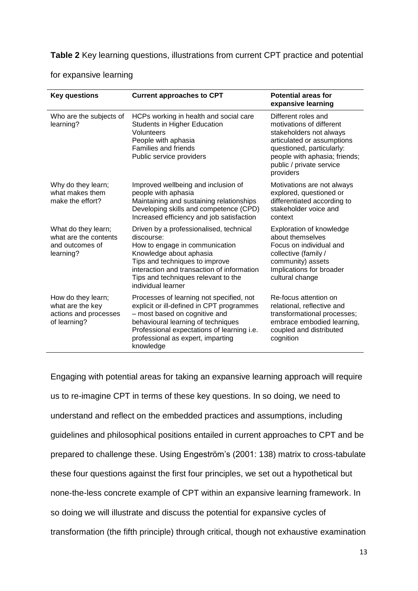**Table 2** Key learning questions, illustrations from current CPT practice and potential

| <b>Key questions</b>                                                            | <b>Current approaches to CPT</b>                                                                                                                                                                                                                                | <b>Potential areas for</b><br>expansive learning                                                                                                                                                                |  |
|---------------------------------------------------------------------------------|-----------------------------------------------------------------------------------------------------------------------------------------------------------------------------------------------------------------------------------------------------------------|-----------------------------------------------------------------------------------------------------------------------------------------------------------------------------------------------------------------|--|
| Who are the subjects of<br>learning?                                            | HCPs working in health and social care<br><b>Students in Higher Education</b><br>Volunteers<br>People with aphasia<br><b>Families and friends</b><br>Public service providers                                                                                   | Different roles and<br>motivations of different<br>stakeholders not always<br>articulated or assumptions<br>questioned, particularly:<br>people with aphasia; friends;<br>public / private service<br>providers |  |
| Why do they learn;<br>what makes them<br>make the effort?                       | Improved wellbeing and inclusion of<br>people with aphasia<br>Maintaining and sustaining relationships<br>Developing skills and competence (CPD)<br>Increased efficiency and job satisfaction                                                                   | Motivations are not always<br>explored, questioned or<br>differentiated according to<br>stakeholder voice and<br>context                                                                                        |  |
| What do they learn;<br>what are the contents<br>and outcomes of<br>learning?    | Driven by a professionalised, technical<br>discourse:<br>How to engage in communication<br>Knowledge about aphasia<br>Tips and techniques to improve<br>interaction and transaction of information<br>Tips and techniques relevant to the<br>individual learner | Exploration of knowledge<br>about themselves<br>Focus on individual and<br>collective (family /<br>community) assets<br>Implications for broader<br>cultural change                                             |  |
| How do they learn;<br>what are the key<br>actions and processes<br>of learning? | Processes of learning not specified, not<br>explicit or ill-defined in CPT programmes<br>- most based on cognitive and<br>behavioural learning of techniques<br>Professional expectations of learning i.e.<br>professional as expert, imparting<br>knowledge    | Re-focus attention on<br>relational, reflective and<br>transformational processes;<br>embrace embodied learning,<br>coupled and distributed<br>cognition                                                        |  |

for expansive learning

Engaging with potential areas for taking an expansive learning approach will require us to re-imagine CPT in terms of these key questions. In so doing, we need to understand and reflect on the embedded practices and assumptions, including guidelines and philosophical positions entailed in current approaches to CPT and be prepared to challenge these. Using Engeström's (2001: 138) matrix to cross-tabulate these four questions against the first four principles, we set out a hypothetical but none-the-less concrete example of CPT within an expansive learning framework. In so doing we will illustrate and discuss the potential for expansive cycles of transformation (the fifth principle) through critical, though not exhaustive examination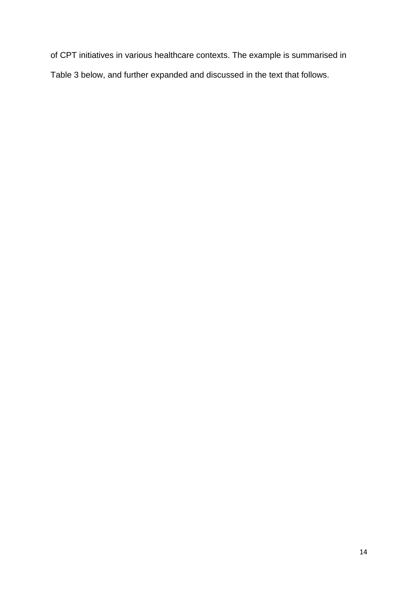of CPT initiatives in various healthcare contexts. The example is summarised in Table 3 below, and further expanded and discussed in the text that follows.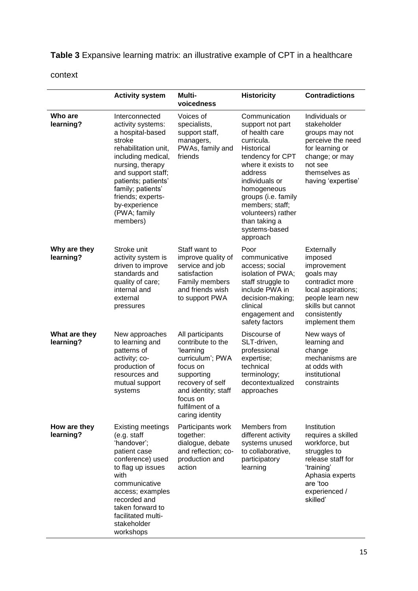**Table 3** Expansive learning matrix: an illustrative example of CPT in a healthcare

context

|                            | <b>Activity system</b>                                                                                                                                                                                                                                                  | Multi-<br>voicedness                                                                                                                                                                          | <b>Historicity</b>                                                                                                                                                                                                                                                                         | <b>Contradictions</b>                                                                                                                                                 |
|----------------------------|-------------------------------------------------------------------------------------------------------------------------------------------------------------------------------------------------------------------------------------------------------------------------|-----------------------------------------------------------------------------------------------------------------------------------------------------------------------------------------------|--------------------------------------------------------------------------------------------------------------------------------------------------------------------------------------------------------------------------------------------------------------------------------------------|-----------------------------------------------------------------------------------------------------------------------------------------------------------------------|
| Who are<br>learning?       | Interconnected<br>activity systems:<br>a hospital-based<br>stroke<br>rehabilitation unit,<br>including medical,<br>nursing, therapy<br>and support staff;<br>patients; patients'<br>family; patients'<br>friends; experts-<br>by-experience<br>(PWA; family<br>members) | Voices of<br>specialists,<br>support staff,<br>managers,<br>PWAs, family and<br>friends                                                                                                       | Communication<br>support not part<br>of health care<br>curricula.<br><b>Historical</b><br>tendency for CPT<br>where it exists to<br>address<br>individuals or<br>homogeneous<br>groups (i.e. family<br>members; staff;<br>volunteers) rather<br>than taking a<br>systems-based<br>approach | Individuals or<br>stakeholder<br>groups may not<br>perceive the need<br>for learning or<br>change; or may<br>not see<br>themselves as<br>having 'expertise'           |
| Why are they<br>learning?  | Stroke unit<br>activity system is<br>driven to improve<br>standards and<br>quality of care;<br>internal and<br>external<br>pressures                                                                                                                                    | Staff want to<br>improve quality of<br>service and job<br>satisfaction<br>Family members<br>and friends wish<br>to support PWA                                                                | Poor<br>communicative<br>access; social<br>isolation of PWA;<br>staff struggle to<br>include PWA in<br>decision-making;<br>clinical<br>engagement and<br>safety factors                                                                                                                    | Externally<br>imposed<br>improvement<br>goals may<br>contradict more<br>local aspirations;<br>people learn new<br>skills but cannot<br>consistently<br>implement them |
| What are they<br>learning? | New approaches<br>to learning and<br>patterns of<br>activity; co-<br>production of<br>resources and<br>mutual support<br>systems                                                                                                                                        | All participants<br>contribute to the<br>'learning<br>curriculum'; PWA<br>focus on<br>supporting<br>recovery of self<br>and identity; staff<br>focus on<br>fulfilment of a<br>caring identity | Discourse of<br>SLT-driven,<br>professional<br>expertise;<br>technical<br>terminology;<br>decontextualized<br>approaches                                                                                                                                                                   | New ways of<br>learning and<br>change<br>mechanisms are<br>at odds with<br>institutional<br>constraints                                                               |
| How are they<br>learning?  | <b>Existing meetings</b><br>(e.g. staff<br>'handover';<br>patient case<br>conference) used<br>to flag up issues<br>with<br>communicative<br>access; examples<br>recorded and<br>taken forward to<br>facilitated multi-<br>stakeholder<br>workshops                      | Participants work<br>together:<br>dialogue, debate<br>and reflection; co-<br>production and<br>action                                                                                         | Members from<br>different activity<br>systems unused<br>to collaborative,<br>participatory<br>learning                                                                                                                                                                                     | Institution<br>requires a skilled<br>workforce, but<br>struggles to<br>release staff for<br>'training'<br>Aphasia experts<br>are 'too<br>experienced /<br>skilled'    |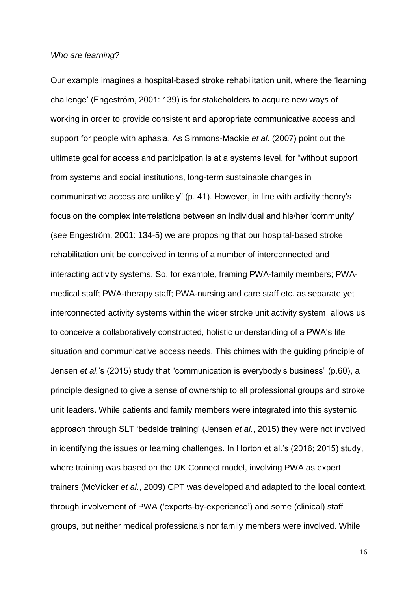## *Who are learning?*

Our example imagines a hospital-based stroke rehabilitation unit, where the 'learning challenge' (Engeström, 2001: 139) is for stakeholders to acquire new ways of working in order to provide consistent and appropriate communicative access and support for people with aphasia. As Simmons-Mackie *et al*. (2007) point out the ultimate goal for access and participation is at a systems level, for "without support from systems and social institutions, long-term sustainable changes in communicative access are unlikely" (p. 41). However, in line with activity theory's focus on the complex interrelations between an individual and his/her 'community' (see Engeström, 2001: 134-5) we are proposing that our hospital-based stroke rehabilitation unit be conceived in terms of a number of interconnected and interacting activity systems. So, for example, framing PWA-family members; PWAmedical staff; PWA-therapy staff; PWA-nursing and care staff etc. as separate yet interconnected activity systems within the wider stroke unit activity system, allows us to conceive a collaboratively constructed, holistic understanding of a PWA's life situation and communicative access needs. This chimes with the guiding principle of Jensen *et al.*'s (2015) study that "communication is everybody's business" (p.60), a principle designed to give a sense of ownership to all professional groups and stroke unit leaders. While patients and family members were integrated into this systemic approach through SLT 'bedside training' (Jensen *et al.*, 2015) they were not involved in identifying the issues or learning challenges. In Horton et al.'s (2016; 2015) study, where training was based on the UK Connect model, involving PWA as expert trainers (McVicker *et al*., 2009) CPT was developed and adapted to the local context, through involvement of PWA ('experts-by-experience') and some (clinical) staff groups, but neither medical professionals nor family members were involved. While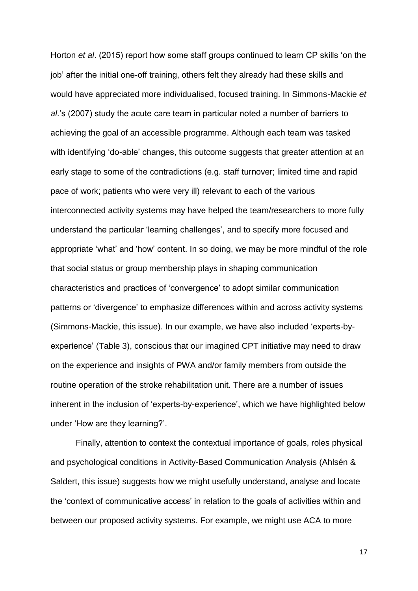Horton *et al*. (2015) report how some staff groups continued to learn CP skills 'on the job' after the initial one-off training, others felt they already had these skills and would have appreciated more individualised, focused training. In Simmons-Mackie *et al*.'s (2007) study the acute care team in particular noted a number of barriers to achieving the goal of an accessible programme. Although each team was tasked with identifying 'do-able' changes, this outcome suggests that greater attention at an early stage to some of the contradictions (e.g. staff turnover; limited time and rapid pace of work; patients who were very ill) relevant to each of the various interconnected activity systems may have helped the team/researchers to more fully understand the particular 'learning challenges', and to specify more focused and appropriate 'what' and 'how' content. In so doing, we may be more mindful of the role that social status or group membership plays in shaping communication characteristics and practices of 'convergence' to adopt similar communication patterns or 'divergence' to emphasize differences within and across activity systems (Simmons-Mackie, this issue). In our example, we have also included 'experts-byexperience' (Table 3), conscious that our imagined CPT initiative may need to draw on the experience and insights of PWA and/or family members from outside the routine operation of the stroke rehabilitation unit. There are a number of issues inherent in the inclusion of 'experts-by-experience', which we have highlighted below under 'How are they learning?'.

Finally, attention to context the contextual importance of goals, roles physical and psychological conditions in Activity-Based Communication Analysis (Ahlsén & Saldert, this issue) suggests how we might usefully understand, analyse and locate the 'context of communicative access' in relation to the goals of activities within and between our proposed activity systems. For example, we might use ACA to more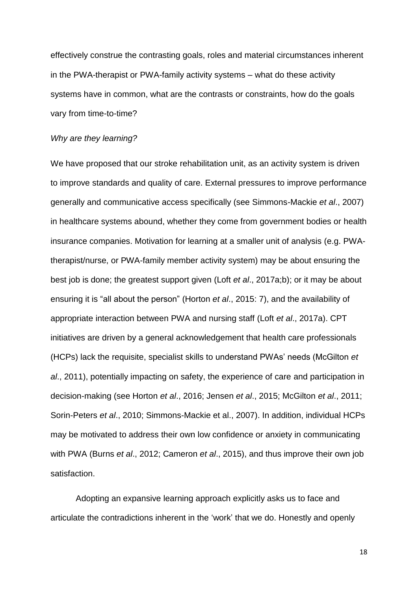effectively construe the contrasting goals, roles and material circumstances inherent in the PWA-therapist or PWA-family activity systems – what do these activity systems have in common, what are the contrasts or constraints, how do the goals vary from time-to-time?

#### *Why are they learning?*

We have proposed that our stroke rehabilitation unit, as an activity system is driven to improve standards and quality of care. External pressures to improve performance generally and communicative access specifically (see Simmons-Mackie *et al*., 2007) in healthcare systems abound, whether they come from government bodies or health insurance companies. Motivation for learning at a smaller unit of analysis (e.g. PWAtherapist/nurse, or PWA-family member activity system) may be about ensuring the best job is done; the greatest support given (Loft *et al*., 2017a;b); or it may be about ensuring it is "all about the person" (Horton *et al*., 2015: 7), and the availability of appropriate interaction between PWA and nursing staff (Loft *et al*., 2017a). CPT initiatives are driven by a general acknowledgement that health care professionals (HCPs) lack the requisite, specialist skills to understand PWAs' needs (McGilton *et al*., 2011), potentially impacting on safety, the experience of care and participation in decision-making (see Horton *et al*., 2016; Jensen *et al*., 2015; McGilton *et al*., 2011; Sorin-Peters *et al*., 2010; Simmons-Mackie et al., 2007). In addition, individual HCPs may be motivated to address their own low confidence or anxiety in communicating with PWA (Burns *et al*., 2012; Cameron *et al*., 2015), and thus improve their own job satisfaction.

Adopting an expansive learning approach explicitly asks us to face and articulate the contradictions inherent in the 'work' that we do. Honestly and openly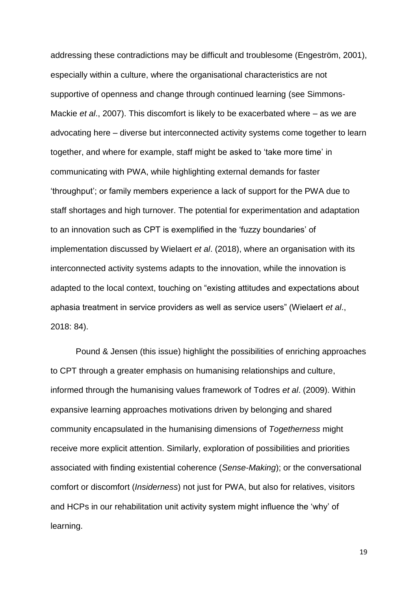addressing these contradictions may be difficult and troublesome (Engeström, 2001), especially within a culture, where the organisational characteristics are not supportive of openness and change through continued learning (see Simmons-Mackie *et al*., 2007). This discomfort is likely to be exacerbated where – as we are advocating here – diverse but interconnected activity systems come together to learn together, and where for example, staff might be asked to 'take more time' in communicating with PWA, while highlighting external demands for faster 'throughput'; or family members experience a lack of support for the PWA due to staff shortages and high turnover. The potential for experimentation and adaptation to an innovation such as CPT is exemplified in the 'fuzzy boundaries' of implementation discussed by Wielaert *et al*. (2018), where an organisation with its interconnected activity systems adapts to the innovation, while the innovation is adapted to the local context, touching on "existing attitudes and expectations about aphasia treatment in service providers as well as service users" (Wielaert *et al*., 2018: 84).

Pound & Jensen (this issue) highlight the possibilities of enriching approaches to CPT through a greater emphasis on humanising relationships and culture, informed through the humanising values framework of Todres *et al*. (2009). Within expansive learning approaches motivations driven by belonging and shared community encapsulated in the humanising dimensions of *Togetherness* might receive more explicit attention. Similarly, exploration of possibilities and priorities associated with finding existential coherence (*Sense-Making*); or the conversational comfort or discomfort (*Insiderness*) not just for PWA, but also for relatives, visitors and HCPs in our rehabilitation unit activity system might influence the 'why' of learning.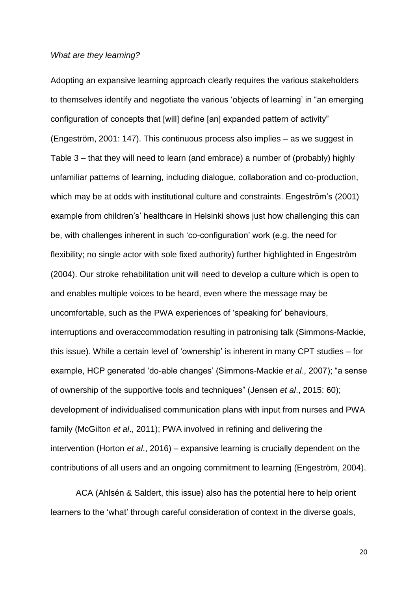#### *What are they learning?*

Adopting an expansive learning approach clearly requires the various stakeholders to themselves identify and negotiate the various 'objects of learning' in "an emerging configuration of concepts that [will] define [an] expanded pattern of activity" (Engeström, 2001: 147). This continuous process also implies – as we suggest in Table 3 – that they will need to learn (and embrace) a number of (probably) highly unfamiliar patterns of learning, including dialogue, collaboration and co-production, which may be at odds with institutional culture and constraints. Engeström's (2001) example from children's' healthcare in Helsinki shows just how challenging this can be, with challenges inherent in such 'co-configuration' work (e.g. the need for flexibility; no single actor with sole fixed authority) further highlighted in Engeström (2004). Our stroke rehabilitation unit will need to develop a culture which is open to and enables multiple voices to be heard, even where the message may be uncomfortable, such as the PWA experiences of 'speaking for' behaviours, interruptions and overaccommodation resulting in patronising talk (Simmons-Mackie, this issue). While a certain level of 'ownership' is inherent in many CPT studies – for example, HCP generated 'do-able changes' (Simmons-Mackie *et al*., 2007); "a sense of ownership of the supportive tools and techniques" (Jensen *et al*., 2015: 60); development of individualised communication plans with input from nurses and PWA family (McGilton *et al*., 2011); PWA involved in refining and delivering the intervention (Horton *et al*., 2016) – expansive learning is crucially dependent on the contributions of all users and an ongoing commitment to learning (Engeström, 2004).

ACA (Ahlsén & Saldert, this issue) also has the potential here to help orient learners to the 'what' through careful consideration of context in the diverse goals,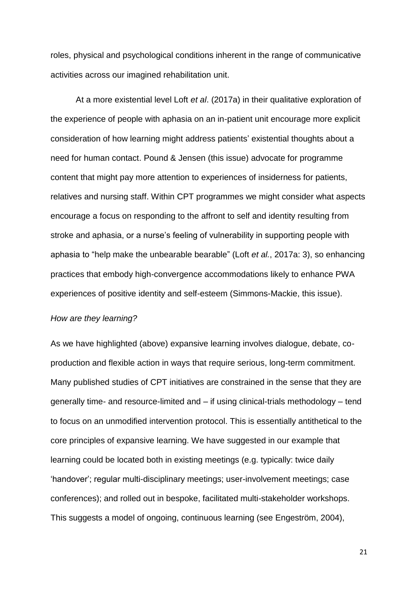roles, physical and psychological conditions inherent in the range of communicative activities across our imagined rehabilitation unit.

At a more existential level Loft *et al*. (2017a) in their qualitative exploration of the experience of people with aphasia on an in-patient unit encourage more explicit consideration of how learning might address patients' existential thoughts about a need for human contact. Pound & Jensen (this issue) advocate for programme content that might pay more attention to experiences of insiderness for patients, relatives and nursing staff. Within CPT programmes we might consider what aspects encourage a focus on responding to the affront to self and identity resulting from stroke and aphasia, or a nurse's feeling of vulnerability in supporting people with aphasia to "help make the unbearable bearable" (Loft *et al.*, 2017a: 3), so enhancing practices that embody high-convergence accommodations likely to enhance PWA experiences of positive identity and self-esteem (Simmons-Mackie, this issue).

#### *How are they learning?*

As we have highlighted (above) expansive learning involves dialogue, debate, coproduction and flexible action in ways that require serious, long-term commitment. Many published studies of CPT initiatives are constrained in the sense that they are generally time- and resource-limited and – if using clinical-trials methodology – tend to focus on an unmodified intervention protocol. This is essentially antithetical to the core principles of expansive learning. We have suggested in our example that learning could be located both in existing meetings (e.g. typically: twice daily 'handover'; regular multi-disciplinary meetings; user-involvement meetings; case conferences); and rolled out in bespoke, facilitated multi-stakeholder workshops. This suggests a model of ongoing, continuous learning (see Engeström, 2004),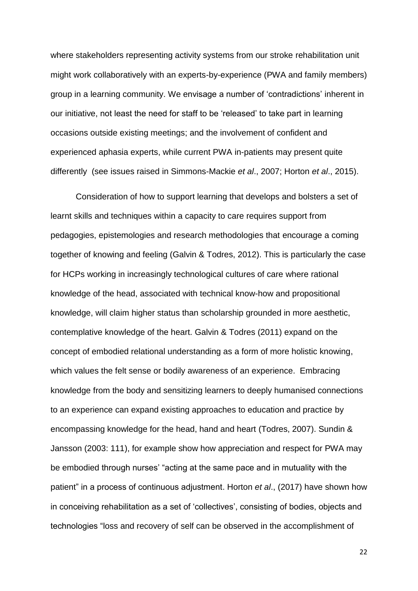where stakeholders representing activity systems from our stroke rehabilitation unit might work collaboratively with an experts-by-experience (PWA and family members) group in a learning community. We envisage a number of 'contradictions' inherent in our initiative, not least the need for staff to be 'released' to take part in learning occasions outside existing meetings; and the involvement of confident and experienced aphasia experts, while current PWA in-patients may present quite differently (see issues raised in Simmons-Mackie *et al*., 2007; Horton *et al*., 2015).

Consideration of how to support learning that develops and bolsters a set of learnt skills and techniques within a capacity to care requires support from pedagogies, epistemologies and research methodologies that encourage a coming together of knowing and feeling (Galvin & Todres, 2012). This is particularly the case for HCPs working in increasingly technological cultures of care where rational knowledge of the head, associated with technical know-how and propositional knowledge, will claim higher status than scholarship grounded in more aesthetic, contemplative knowledge of the heart. Galvin & Todres (2011) expand on the concept of embodied relational understanding as a form of more holistic knowing, which values the felt sense or bodily awareness of an experience. Embracing knowledge from the body and sensitizing learners to deeply humanised connections to an experience can expand existing approaches to education and practice by encompassing knowledge for the head, hand and heart (Todres, 2007). Sundin & Jansson (2003: 111), for example show how appreciation and respect for PWA may be embodied through nurses' "acting at the same pace and in mutuality with the patient" in a process of continuous adjustment. Horton *et al*., (2017) have shown how in conceiving rehabilitation as a set of 'collectives', consisting of bodies, objects and technologies "loss and recovery of self can be observed in the accomplishment of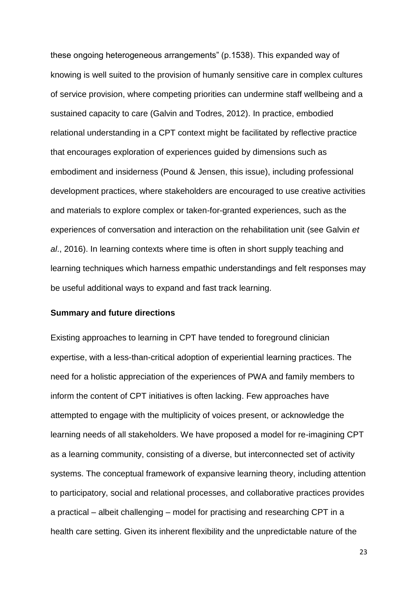these ongoing heterogeneous arrangements" (p.1538). This expanded way of knowing is well suited to the provision of humanly sensitive care in complex cultures of service provision, where competing priorities can undermine staff wellbeing and a sustained capacity to care (Galvin and Todres, 2012). In practice, embodied relational understanding in a CPT context might be facilitated by reflective practice that encourages exploration of experiences guided by dimensions such as embodiment and insiderness (Pound & Jensen, this issue), including professional development practices, where stakeholders are encouraged to use creative activities and materials to explore complex or taken-for-granted experiences, such as the experiences of conversation and interaction on the rehabilitation unit (see Galvin *et al*., 2016). In learning contexts where time is often in short supply teaching and learning techniques which harness empathic understandings and felt responses may be useful additional ways to expand and fast track learning.

## **Summary and future directions**

Existing approaches to learning in CPT have tended to foreground clinician expertise, with a less-than-critical adoption of experiential learning practices. The need for a holistic appreciation of the experiences of PWA and family members to inform the content of CPT initiatives is often lacking. Few approaches have attempted to engage with the multiplicity of voices present, or acknowledge the learning needs of all stakeholders. We have proposed a model for re-imagining CPT as a learning community, consisting of a diverse, but interconnected set of activity systems. The conceptual framework of expansive learning theory, including attention to participatory, social and relational processes, and collaborative practices provides a practical – albeit challenging – model for practising and researching CPT in a health care setting. Given its inherent flexibility and the unpredictable nature of the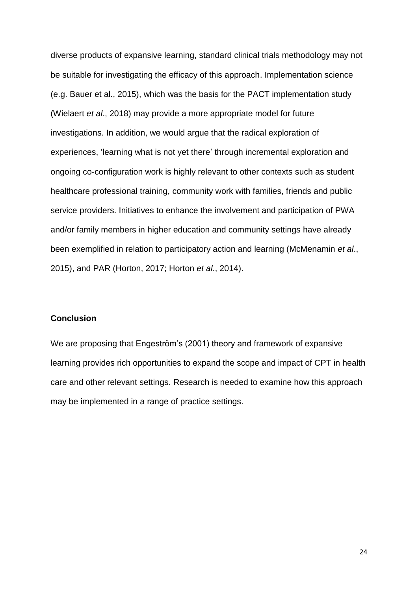diverse products of expansive learning, standard clinical trials methodology may not be suitable for investigating the efficacy of this approach. Implementation science (e.g. Bauer et al., 2015), which was the basis for the PACT implementation study (Wielaert *et al*., 2018) may provide a more appropriate model for future investigations. In addition, we would argue that the radical exploration of experiences, 'learning what is not yet there' through incremental exploration and ongoing co-configuration work is highly relevant to other contexts such as student healthcare professional training, community work with families, friends and public service providers. Initiatives to enhance the involvement and participation of PWA and/or family members in higher education and community settings have already been exemplified in relation to participatory action and learning (McMenamin *et al*., 2015), and PAR (Horton, 2017; Horton *et al*., 2014).

## **Conclusion**

We are proposing that Engeström's (2001) theory and framework of expansive learning provides rich opportunities to expand the scope and impact of CPT in health care and other relevant settings. Research is needed to examine how this approach may be implemented in a range of practice settings.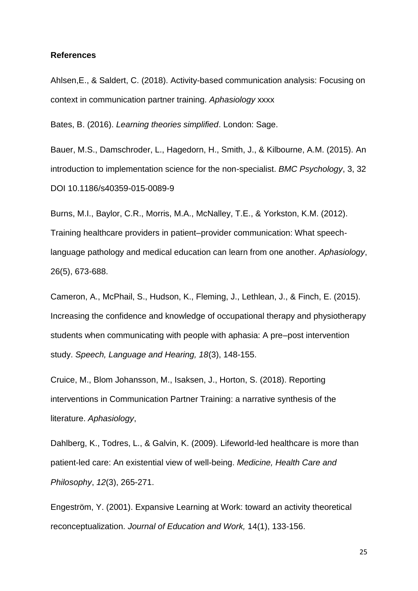#### **References**

Ahlsen,E., & Saldert, C. (2018). Activity-based communication analysis: Focusing on context in communication partner training. *Aphasiology* xxxx

Bates, B. (2016). *Learning theories simplified*. London: Sage.

Bauer, M.S., Damschroder, L., Hagedorn, H., Smith, J., & Kilbourne, A.M. (2015). An introduction to implementation science for the non-specialist. *BMC Psychology*, 3, 32 DOI 10.1186/s40359-015-0089-9

Burns, M.I., Baylor, C.R., Morris, M.A., McNalley, T.E., & Yorkston, K.M. (2012). Training healthcare providers in patient–provider communication: What speechlanguage pathology and medical education can learn from one another. *Aphasiology*, 26(5), 673-688.

Cameron, A., McPhail, S., Hudson, K., Fleming, J., Lethlean, J., & Finch, E. (2015). Increasing the confidence and knowledge of occupational therapy and physiotherapy students when communicating with people with aphasia: A pre–post intervention study. *Speech, Language and Hearing, 18*(3), 148-155.

Cruice, M., Blom Johansson, M., Isaksen, J., Horton, S. (2018). Reporting interventions in Communication Partner Training: a narrative synthesis of the literature. *Aphasiology*,

Dahlberg, K., Todres, L., & Galvin, K. (2009). Lifeworld-led healthcare is more than patient-led care: An existential view of well-being. *Medicine, Health Care and Philosophy*, *12*(3), 265-271.

Engeström, Y. (2001). Expansive Learning at Work: toward an activity theoretical reconceptualization. *Journal of Education and Work,* 14(1), 133-156.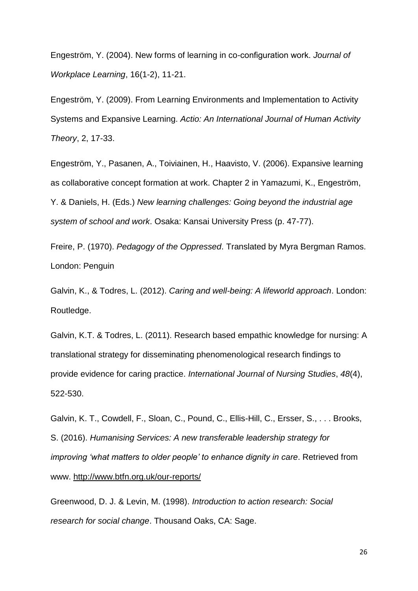Engeström, Y. (2004). New forms of learning in co-configuration work. *Journal of Workplace Learning*, 16(1-2), 11-21.

Engeström, Y. (2009). From Learning Environments and Implementation to Activity Systems and Expansive Learning. *Actio: An International Journal of Human Activity Theory*, 2, 17-33.

Engeström, Y., Pasanen, A., Toiviainen, H., Haavisto, V. (2006). Expansive learning as collaborative concept formation at work. Chapter 2 in Yamazumi, K., Engeström, Y. & Daniels, H. (Eds.) *New learning challenges: Going beyond the industrial age system of school and work*. Osaka: Kansai University Press (p. 47-77).

Freire, P. (1970). *Pedagogy of the Oppressed*. Translated by Myra Bergman Ramos. London: Penguin

Galvin, K., & Todres, L. (2012). *Caring and well-being: A lifeworld approach*. London: Routledge.

Galvin, K.T. & Todres, L. (2011). Research based empathic knowledge for nursing: A translational strategy for disseminating phenomenological research findings to provide evidence for caring practice. *International Journal of Nursing Studies*, *48*(4), 522-530.

Galvin, K. T., Cowdell, F., Sloan, C., Pound, C., Ellis-Hill, C., Ersser, S., . . . Brooks, S. (2016). *Humanising Services: A new transferable leadership strategy for improving 'what matters to older people' to enhance dignity in care*. Retrieved from www.<http://www.btfn.org.uk/our-reports/>

Greenwood, D. J. & Levin, M. (1998). *Introduction to action research: Social research for social change*. Thousand Oaks, CA: Sage.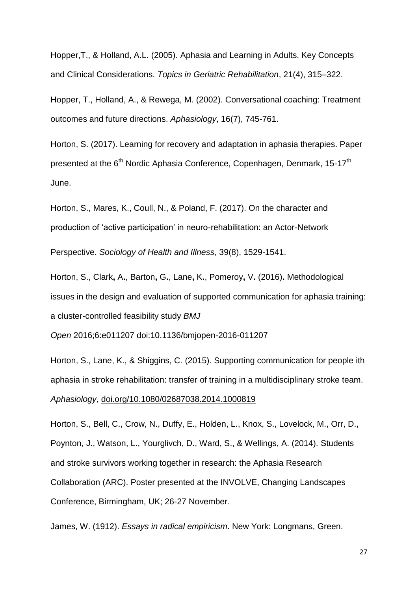Hopper,T., & Holland, A.L. (2005). Aphasia and Learning in Adults. Key Concepts and Clinical Considerations. *Topics in Geriatric Rehabilitation*, 21(4), 315–322.

Hopper, T., Holland, A., & Rewega, M. (2002). Conversational coaching: Treatment outcomes and future directions. *Aphasiology*, 16(7), 745-761.

Horton, S. (2017). Learning for recovery and adaptation in aphasia therapies. Paper presented at the 6<sup>th</sup> Nordic Aphasia Conference, Copenhagen, Denmark, 15-17<sup>th</sup> June.

Horton, S., Mares, K., Coull, N., & Poland, F. (2017). On the character and production of 'active participation' in neuro-rehabilitation: an Actor-Network

Perspective. *Sociology of Health and Illness*, 39(8), 1529-1541.

Horton, S., Clark**,** A**.**, Barton**,** G**.**, Lane**,** K**.**, Pomeroy**,** V**.** (2016)**.** Methodological issues in the design and evaluation of supported communication for aphasia training: a cluster-controlled feasibility study *BMJ*

*Open* 2016;6:e011207 doi:10.1136/bmjopen-2016-011207

Horton, S., Lane, K., & Shiggins, C. (2015). Supporting communication for people ith aphasia in stroke rehabilitation: transfer of training in a multidisciplinary stroke team. *Aphasiology*, [doi.org/10.1080/02687038.2014.1000819](https://doi.org/10.1080/02687038.2014.1000819)

Horton, S., Bell, C., Crow, N., Duffy, E., Holden, L., Knox, S., Lovelock, M., Orr, D., Poynton, J., Watson, L., Yourglivch, D., Ward, S., & Wellings, A. (2014). Students and stroke survivors working together in research: the Aphasia Research Collaboration (ARC). Poster presented at the INVOLVE, Changing Landscapes Conference, Birmingham, UK; 26-27 November.

James, W. (1912). *Essays in radical empiricism*. New York: Longmans, Green.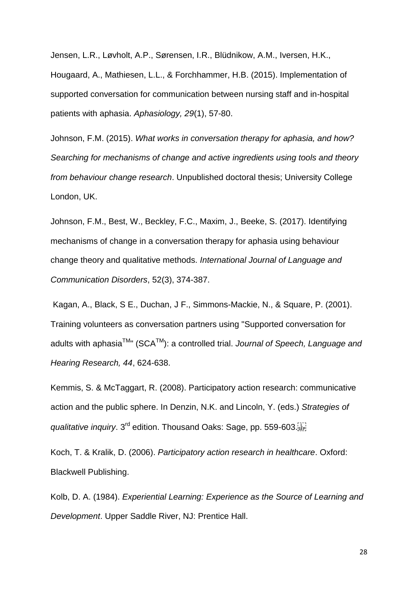Jensen, L.R., Løvholt, A.P., Sørensen, I.R., Blüdnikow, A.M., Iversen, H.K., Hougaard, A., Mathiesen, L.L., & Forchhammer, H.B. (2015). Implementation of supported conversation for communication between nursing staff and in-hospital patients with aphasia. *Aphasiology, 29*(1), 57-80.

Johnson, F.M. (2015). *What works in conversation therapy for aphasia, and how? Searching for mechanisms of change and active ingredients using tools and theory from behaviour change research*. Unpublished doctoral thesis; University College London, UK.

Johnson, F.M., Best, W., Beckley, F.C., Maxim, J., Beeke, S. (2017). Identifying mechanisms of change in a conversation therapy for aphasia using behaviour change theory and qualitative methods. *International Journal of Language and Communication Disorders*, 52(3), 374-387.

Kagan, A., Black, S E., Duchan, J F., Simmons-Mackie, N., & Square, P. (2001). Training volunteers as conversation partners using "Supported conversation for adults with aphasiaTM" (SCATM): a controlled trial. *Journal of Speech, Language and Hearing Research, 44*, 624-638.

Kemmis, S. & McTaggart, R. (2008). Participatory action research: communicative action and the public sphere. In Denzin, N.K. and Lincoln, Y. (eds.) *Strategies of*  qualitative inquiry. 3<sup>rd</sup> edition. Thousand Oaks: Sage, pp. 559-603.

Koch, T. & Kralik, D. (2006). *Participatory action research in healthcare*. Oxford: Blackwell Publishing.

Kolb, D. A. (1984). *Experiential Learning: Experience as the Source of Learning and Development*. Upper Saddle River, NJ: Prentice Hall.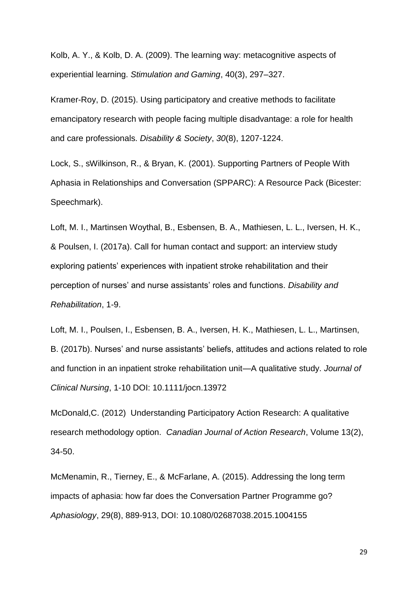Kolb, A. Y., & Kolb, D. A. (2009). The learning way: metacognitive aspects of experiential learning. *Stimulation and Gaming*, 40(3), 297–327.

Kramer-Roy, D. (2015). Using participatory and creative methods to facilitate emancipatory research with people facing multiple disadvantage: a role for health and care professionals. *Disability & Society*, *30*(8), 1207-1224.

Lock, S., sWilkinson, R., & Bryan, K. (2001). Supporting Partners of People With Aphasia in Relationships and Conversation (SPPARC): A Resource Pack (Bicester: Speechmark).

Loft, M. I., Martinsen Woythal, B., Esbensen, B. A., Mathiesen, L. L., Iversen, H. K., & Poulsen, I. (2017a). Call for human contact and support: an interview study exploring patients' experiences with inpatient stroke rehabilitation and their perception of nurses' and nurse assistants' roles and functions. *Disability and Rehabilitation*, 1-9.

Loft, M. I., Poulsen, I., Esbensen, B. A., Iversen, H. K., Mathiesen, L. L., Martinsen, B. (2017b). Nurses' and nurse assistants' beliefs, attitudes and actions related to role and function in an inpatient stroke rehabilitation unit—A qualitative study. *Journal of Clinical Nursing*, 1-10 DOI: 10.1111/jocn.13972

McDonald,C. (2012) Understanding Participatory Action Research: A qualitative research methodology option. *Canadian Journal of Action Research*, Volume 13(2), 34-50.

McMenamin, R., Tierney, E., & McFarlane, A. (2015). Addressing the long term impacts of aphasia: how far does the Conversation Partner Programme go? *Aphasiology*, 29(8), 889-913, DOI: 10.1080/02687038.2015.1004155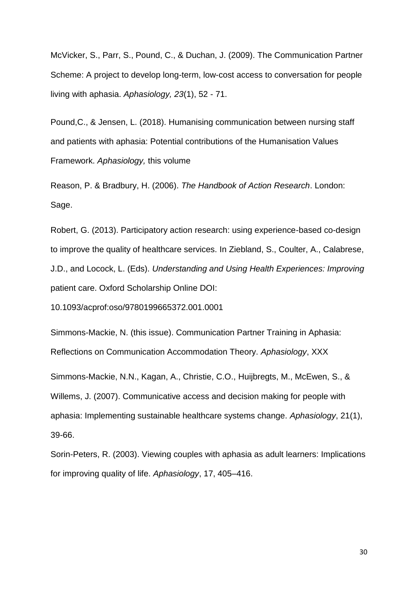McVicker, S., Parr, S., Pound, C., & Duchan, J. (2009). The Communication Partner Scheme: A project to develop long-term, low-cost access to conversation for people living with aphasia. *Aphasiology, 23*(1), 52 - 71.

Pound,C., & Jensen, L. (2018). Humanising communication between nursing staff and patients with aphasia: Potential contributions of the Humanisation Values Framework. *Aphasiology,* this volume

Reason, P. & Bradbury, H. (2006). *The Handbook of Action Research*. London: Sage.

Robert, G. (2013). Participatory action research: using experience-based co-design to improve the quality of healthcare services. In Ziebland, S., Coulter, A., Calabrese, J.D., and Locock, L. (Eds). *Understanding and Using Health Experiences: Improving*  patient care. Oxford Scholarship Online DOI:

10.1093/acprof:oso/9780199665372.001.0001

Simmons-Mackie, N. (this issue). Communication Partner Training in Aphasia: Reflections on Communication Accommodation Theory. *Aphasiology*, XXX

Simmons-Mackie, N.N., Kagan, A., Christie, C.O., Huijbregts, M., McEwen, S., & Willems, J. (2007). Communicative access and decision making for people with aphasia: Implementing sustainable healthcare systems change. *Aphasiology*, 21(1), 39-66.

Sorin-Peters, R. (2003). Viewing couples with aphasia as adult learners: Implications for improving quality of life. *Aphasiology*, 17, 405–416.